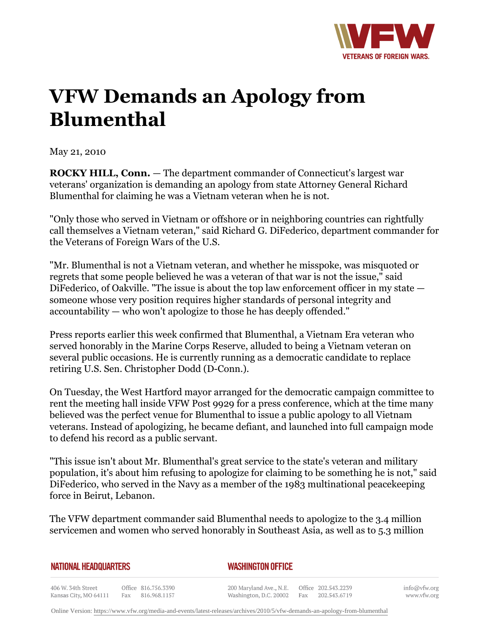

## **VFW Demands an Apology from Blumenthal**

May 21, 2010

**ROCKY HILL, Conn.** — The department commander of Connecticut's largest war veterans' organization is demanding an apology from state Attorney General Richard Blumenthal for claiming he was a Vietnam veteran when he is not.

"Only those who served in Vietnam or offshore or in neighboring countries can rightfully call themselves a Vietnam veteran," said Richard G. DiFederico, department commander for the Veterans of Foreign Wars of the U.S.

"Mr. Blumenthal is not a Vietnam veteran, and whether he misspoke, was misquoted or regrets that some people believed he was a veteran of that war is not the issue," said DiFederico, of Oakville. "The issue is about the top law enforcement officer in my state someone whose very position requires higher standards of personal integrity and accountability — who won't apologize to those he has deeply offended."

Press reports earlier this week confirmed that Blumenthal, a Vietnam Era veteran who served honorably in the Marine Corps Reserve, alluded to being a Vietnam veteran on several public occasions. He is currently running as a democratic candidate to replace retiring U.S. Sen. Christopher Dodd (D-Conn.).

On Tuesday, the West Hartford mayor arranged for the democratic campaign committee to rent the meeting hall inside VFW Post 9929 for a press conference, which at the time many believed was the perfect venue for Blumenthal to issue a public apology to all Vietnam veterans. Instead of apologizing, he became defiant, and launched into full campaign mode to defend his record as a public servant.

"This issue isn't about Mr. Blumenthal's great service to the state's veteran and military population, it's about him refusing to apologize for claiming to be something he is not," said DiFederico, who served in the Navy as a member of the 1983 multinational peacekeeping force in Beirut, Lebanon.

The VFW department commander said Blumenthal needs to apologize to the 3.4 million servicemen and women who served honorably in Southeast Asia, as well as to 5.3 million

|  | NATIONAL HEADQUARTERS |
|--|-----------------------|
|  |                       |

## *WASHINGTON OFFICE*

406 W. 34th Street Office 816.756.3390 Fax 816.968.1157 Kansas City, MO 64111

200 Maryland Ave., N.E. Washington, D.C. 20002

Office 202.543.2239 Fax 202.543.6719 info@vfw.org www.vfw.org

Online Version:<https://www.vfw.org/media-and-events/latest-releases/archives/2010/5/vfw-demands-an-apology-from-blumenthal>